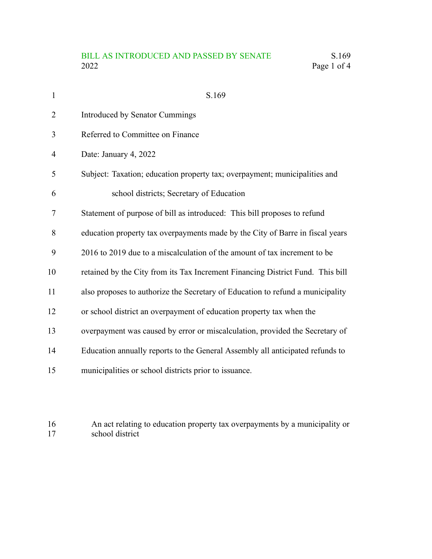## BILL AS INTRODUCED AND PASSED BY SENATE S.169<br>2022 Page 1 of 4 Page 1 of 4

| $\mathbf{1}$ | S.169                                                                          |
|--------------|--------------------------------------------------------------------------------|
| 2            | Introduced by Senator Cummings                                                 |
| 3            | Referred to Committee on Finance                                               |
| 4            | Date: January 4, 2022                                                          |
| 5            | Subject: Taxation; education property tax; overpayment; municipalities and     |
| 6            | school districts; Secretary of Education                                       |
| 7            | Statement of purpose of bill as introduced: This bill proposes to refund       |
| 8            | education property tax overpayments made by the City of Barre in fiscal years  |
| 9            | 2016 to 2019 due to a miscalculation of the amount of tax increment to be      |
| 10           | retained by the City from its Tax Increment Financing District Fund. This bill |
| 11           | also proposes to authorize the Secretary of Education to refund a municipality |
| 12           | or school district an overpayment of education property tax when the           |
| 13           | overpayment was caused by error or miscalculation, provided the Secretary of   |
| 14           | Education annually reports to the General Assembly all anticipated refunds to  |
| 15           | municipalities or school districts prior to issuance.                          |
|              |                                                                                |

## An act relating to education property tax overpayments by a municipality or school district 16 17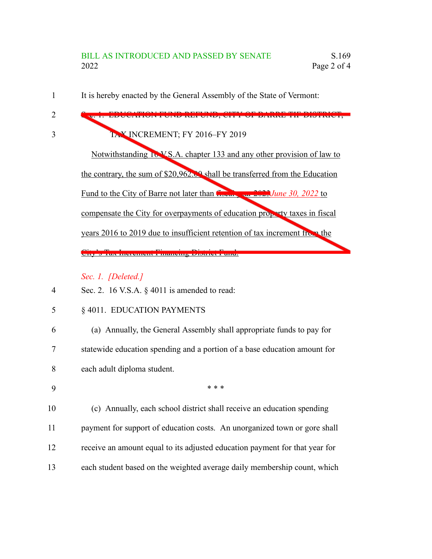It is hereby enacted by the General Assembly of the State of Vermont: 1

Sec. 1. EDUCATION FUND REFUND, CITY OF BARRE TIF DISTRICT; TAX INCREMENT; FY 2016–FY 2019 Notwithstanding 16 V.S.A. chapter 133 and any other provision of law to the contrary, the sum of \$20,962.00 shall be transferred from the Education Fund to the City of Barre not later than fiscal year 2023*June 30, 2022* to compensate the City for overpayments of education property taxes in fiscal years 2016 to 2019 due to insufficient retention of tax increment from the City's Tax Increment Financing District Fund.

*Sec. 1. [Deleted.]*

- Sec. 2. 16 V.S.A. § 4011 is amended to read: 4
- § 4011. EDUCATION PAYMENTS 5

(a) Annually, the General Assembly shall appropriate funds to pay for statewide education spending and a portion of a base education amount for each adult diploma student. 6 7 8

9

2

3

\* \* \*

(c) Annually, each school district shall receive an education spending payment for support of education costs. An unorganized town or gore shall receive an amount equal to its adjusted education payment for that year for each student based on the weighted average daily membership count, which 10 11 12 13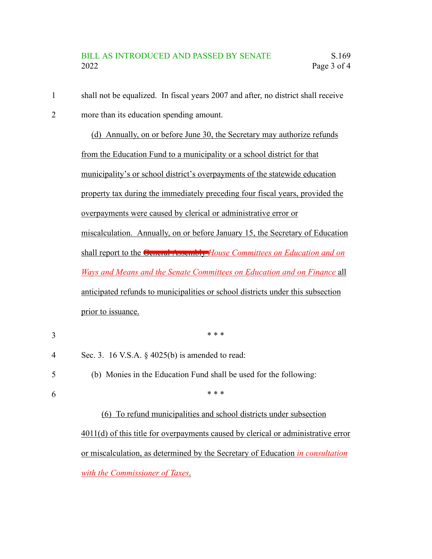shall not be equalized. In fiscal years 2007 and after, no district shall receive 1

more than its education spending amount. 2

> (d) Annually, on or before June 30, the Secretary may authorize refunds from the Education Fund to a municipality or a school district for that municipality's or school district's overpayments of the statewide education property tax during the immediately preceding four fiscal years, provided the overpayments were caused by clerical or administrative error or miscalculation. Annually, on or before January 15, the Secretary of Education shall report to the General Assembly *House Committees on Education and on Ways and Means and the Senate Committees on Education and on Finance* all anticipated refunds to municipalities or school districts under this subsection prior to issuance.

\* \* \* Sec. 3. 16 V.S.A. § 4025(b) is amended to read: (b) Monies in the Education Fund shall be used for the following: \* \* \* (6) To refund municipalities and school districts under subsection 3 4 5 6

> 4011(d) of this title for overpayments caused by clerical or administrative error or miscalculation, as determined by the Secretary of Education *in consultation with the Commissioner of Taxes*.